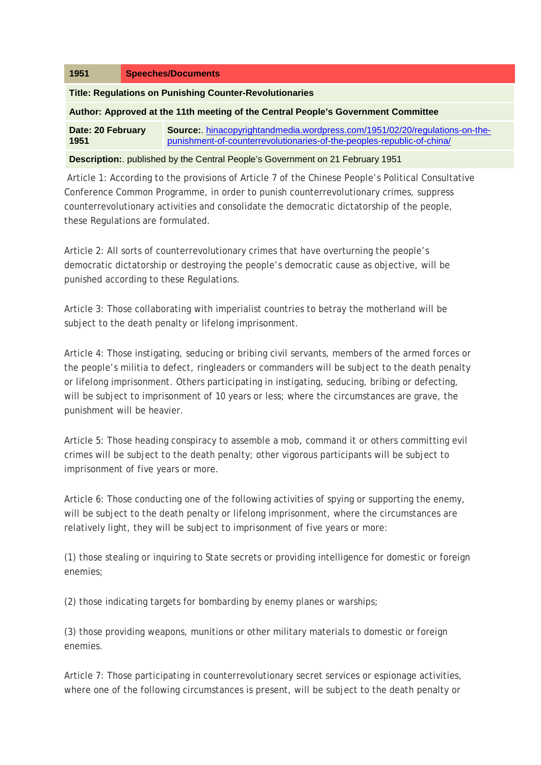| 1951                                                                                 | <b>Speeches/Documents</b> |                                                                                                                                                      |
|--------------------------------------------------------------------------------------|---------------------------|------------------------------------------------------------------------------------------------------------------------------------------------------|
| <b>Title: Regulations on Punishing Counter-Revolutionaries</b>                       |                           |                                                                                                                                                      |
| Author: Approved at the 11th meeting of the Central People's Government Committee    |                           |                                                                                                                                                      |
| Date: 20 February<br>1951                                                            |                           | Source: hinacopyrightandmedia.wordpress.com/1951/02/20/regulations-on-the-<br>punishment-of-counterrevolutionaries-of-the-peoples-republic-of-china/ |
| <b>Description:</b> published by the Central People's Government on 21 February 1951 |                           |                                                                                                                                                      |

Article 1: According to the provisions of Article 7 of the Chinese People's Political Consultative Conference Common Programme, in order to punish counterrevolutionary crimes, suppress counterrevolutionary activities and consolidate the democratic dictatorship of the people, these Regulations are formulated.

Article 2: All sorts of counterrevolutionary crimes that have overturning the people's democratic dictatorship or destroying the people's democratic cause as objective, will be punished according to these Regulations.

Article 3: Those collaborating with imperialist countries to betray the motherland will be subject to the death penalty or lifelong imprisonment.

Article 4: Those instigating, seducing or bribing civil servants, members of the armed forces or the people's militia to defect, ringleaders or commanders will be subject to the death penalty or lifelong imprisonment. Others participating in instigating, seducing, bribing or defecting, will be subject to imprisonment of 10 years or less; where the circumstances are grave, the punishment will be heavier.

Article 5: Those heading conspiracy to assemble a mob, command it or others committing evil crimes will be subject to the death penalty; other vigorous participants will be subject to imprisonment of five years or more.

Article 6: Those conducting one of the following activities of spying or supporting the enemy, will be subject to the death penalty or lifelong imprisonment, where the circumstances are relatively light, they will be subject to imprisonment of five years or more:

(1) those stealing or inquiring to State secrets or providing intelligence for domestic or foreign enemies;

(2) those indicating targets for bombarding by enemy planes or warships;

(3) those providing weapons, munitions or other military materials to domestic or foreign enemies.

Article 7: Those participating in counterrevolutionary secret services or espionage activities, where one of the following circumstances is present, will be subject to the death penalty or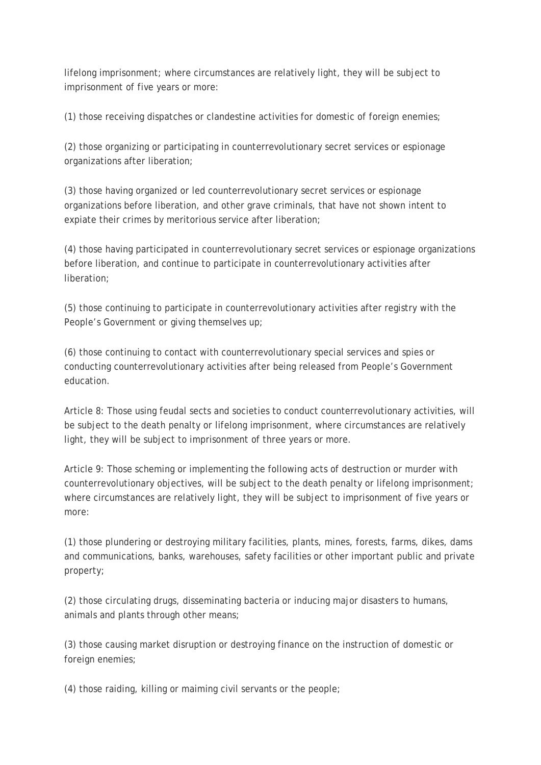lifelong imprisonment; where circumstances are relatively light, they will be subject to imprisonment of five years or more:

(1) those receiving dispatches or clandestine activities for domestic of foreign enemies;

(2) those organizing or participating in counterrevolutionary secret services or espionage organizations after liberation;

(3) those having organized or led counterrevolutionary secret services or espionage organizations before liberation, and other grave criminals, that have not shown intent to expiate their crimes by meritorious service after liberation;

(4) those having participated in counterrevolutionary secret services or espionage organizations before liberation, and continue to participate in counterrevolutionary activities after liberation;

(5) those continuing to participate in counterrevolutionary activities after registry with the People's Government or giving themselves up;

(6) those continuing to contact with counterrevolutionary special services and spies or conducting counterrevolutionary activities after being released from People's Government education.

Article 8: Those using feudal sects and societies to conduct counterrevolutionary activities, will be subject to the death penalty or lifelong imprisonment, where circumstances are relatively light, they will be subject to imprisonment of three years or more.

Article 9: Those scheming or implementing the following acts of destruction or murder with counterrevolutionary objectives, will be subject to the death penalty or lifelong imprisonment; where circumstances are relatively light, they will be subject to imprisonment of five years or more:

(1) those plundering or destroying military facilities, plants, mines, forests, farms, dikes, dams and communications, banks, warehouses, safety facilities or other important public and private property;

(2) those circulating drugs, disseminating bacteria or inducing major disasters to humans, animals and plants through other means;

(3) those causing market disruption or destroying finance on the instruction of domestic or foreign enemies;

(4) those raiding, killing or maiming civil servants or the people;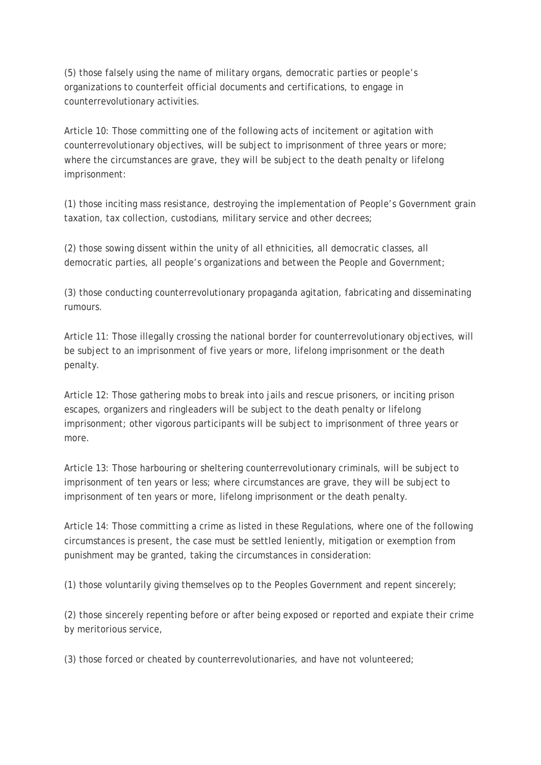(5) those falsely using the name of military organs, democratic parties or people's organizations to counterfeit official documents and certifications, to engage in counterrevolutionary activities.

Article 10: Those committing one of the following acts of incitement or agitation with counterrevolutionary objectives, will be subject to imprisonment of three years or more; where the circumstances are grave, they will be subject to the death penalty or lifelong imprisonment:

(1) those inciting mass resistance, destroying the implementation of People's Government grain taxation, tax collection, custodians, military service and other decrees;

(2) those sowing dissent within the unity of all ethnicities, all democratic classes, all democratic parties, all people's organizations and between the People and Government;

(3) those conducting counterrevolutionary propaganda agitation, fabricating and disseminating rumours.

Article 11: Those illegally crossing the national border for counterrevolutionary objectives, will be subject to an imprisonment of five years or more, lifelong imprisonment or the death penalty.

Article 12: Those gathering mobs to break into jails and rescue prisoners, or inciting prison escapes, organizers and ringleaders will be subject to the death penalty or lifelong imprisonment; other vigorous participants will be subject to imprisonment of three years or more.

Article 13: Those harbouring or sheltering counterrevolutionary criminals, will be subject to imprisonment of ten years or less; where circumstances are grave, they will be subject to imprisonment of ten years or more, lifelong imprisonment or the death penalty.

Article 14: Those committing a crime as listed in these Regulations, where one of the following circumstances is present, the case must be settled leniently, mitigation or exemption from punishment may be granted, taking the circumstances in consideration:

(1) those voluntarily giving themselves op to the Peoples Government and repent sincerely;

(2) those sincerely repenting before or after being exposed or reported and expiate their crime by meritorious service,

(3) those forced or cheated by counterrevolutionaries, and have not volunteered;